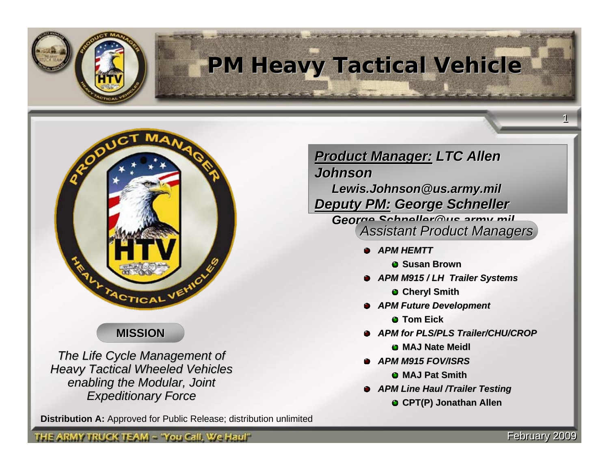

## **PM Heavy Tactical Vehicle PM Heavy Tactical Vehicle**



### **MISSION**

**The Life Cycle Management of Heavy Tactical Wheeled Vehicles** *enabling the Modular, Joint enabling the Modular, Joint Expeditionary Force Expeditionary Force*

THE ARMY TRUCK TEAM ~ 'You Call, We Haul''

**Distribution A:** Approved for Public Release; distribution unlimited

**Product Manager: LTC Allen** 

*Johnson Johnson*

*Lewis.Johnson@us.army.mil Lewis.Johnson@us.army.mil Deputy PM: Deputy PM: George Schneller George Schneller*

*George.Schneller@us.army.mil George.Schneller@us.army.mil Assistant Product Managers Assistant Product Managers*

- *APM HEMTT*
	- **G** Susan Brown
- APM M915 / LH Trailer Systems
	- **Cheryl Smith**
- *APM Future Development APM Future Development*
	- **Tom Eick**
- *APM for PLS/PLS Trailer/CHU/CROP*
	- **MAJ Nate Meidl MAJ Nate Meidl**
- *APM M915 FOV/ISRS*
	- **MAJ Pat Smith MAJ Pat Smith**
- *APM Line Haul /Trailer Testing*
	- **CPT(P) Jonathan Allen**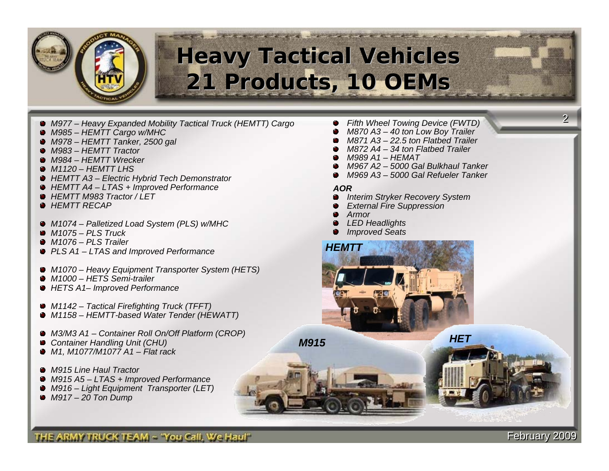

## **Heavy Tactical Vehicles Heavy Tactical Vehicles 21 Products, 10 OEMs 21 Products, 10 OEMs**

- *M977 Heavy Expanded Mobility Tactical Truck (HEMTT) Cargo*
- *M985 HEMTT Cargo w/MHC*
- *M978 HEMTT Tanker, 2500 gal*
- *M983 HEMTT Tractor*
- *M984 HEMTT Wrecker*
- *M1120 HEMTT LHS*
- *HEMTT A3 Electric Hybrid Tech Demonstrator*
- *HEMTT A4 LTAS + Improved Performance*
- *HEMTT M983 Tractor / LET*
- *HEMTT RECAP*
- *M1074 Palletized Load System (PLS) w/MHC*
- *M1075 PLS Truck*
- *M1076 PLS Trailer*
- *PLS A1 LTAS and Improved Performance*
- *M1070 Heavy Equipment Transporter System (HETS)*
- *M1000 HETS Semi-trailer*
- *HETS A1– Improved Performance*
- *M1142 Tactical Firefighting Truck (TFFT)*
- *M1158 HEMTT-based Water Tender (HEWATT)*
- *M3/M3 A1 Container Roll On/Off Platform (CROP)*
- *Container Handling Unit (CHU)*
- *M1, M1077/M1077 A1 Flat rack*
- *M915 Line Haul Tractor*
- *M915 A5 LTAS + Improved Performance*
- *M916 Light Equipment Transporter (LET)*
- *M917 20 Ton Dump*
- *Fifth Wheel Towing Device (FWTD)*
- *M870 A3 40 ton Low Boy Trailer*
- *M871 A3 22.5 ton Flatbed Trailer*
- *M872 A4 34 ton Flatbed Trailer*
- *M989 A1 HEMAT*
- *M967 A2 5000 Gal Bulkhaul Tanker*
- *M969 A3 5000 Gal Refueler Tanker*

#### *AOR*

- *Interim Stryker Recovery System*
- *External Fire Suppression*
- *Armor*
- *LED Headlights*
- *Improved Seats*



*M915*

*HET*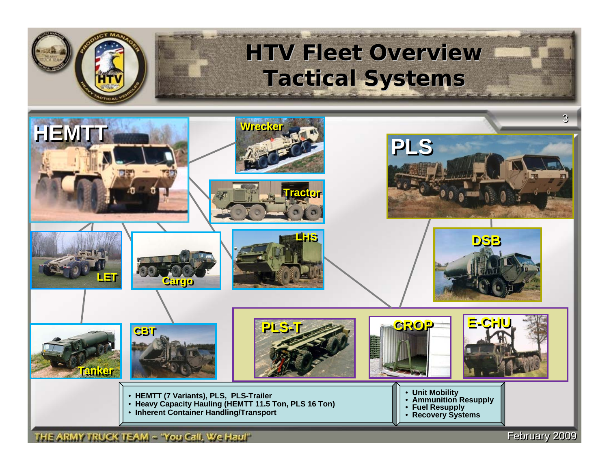

## **HTV Fleet Overview HTV Fleet Overview Tactical Systems Tactical Systems**



THE ARMY TRUCK TEAM ~ 'You Call, We Haul"

February 2009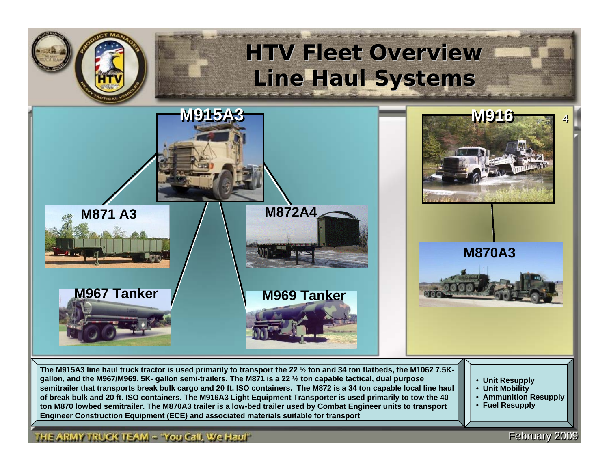

**The M915A3 line haul truck tractor is used primarily to transport the 22 ½ ton and 34 ton flatbeds, the M1062 7.5Kgallon, and the M967/M969, 5K- gallon semi-trailers. The M871 is a 22 ½ ton capable tactical, dual purpose semitrailer that transports break bulk cargo and 20 ft. ISO containers. The M872 is a 34 ton capable local line haul of break bulk and 20 ft. ISO containers. The M916A3 Light Equipment Transporter is used primarily to tow the 40 ton M870 lowbed semitrailer. The M870A3 trailer is a low-bed trailer used by Combat Engineer units to transport Engineer Construction Equipment (ECE) and associated materials suitable for transport**

- **Unit Resupply**
- **Unit Mobility**
- **Ammunition Resupply**

**February 2009** 

• **Fuel Resupply**

#### THE ARMY TRUCK TEAM ~ 'You Call, We Haul''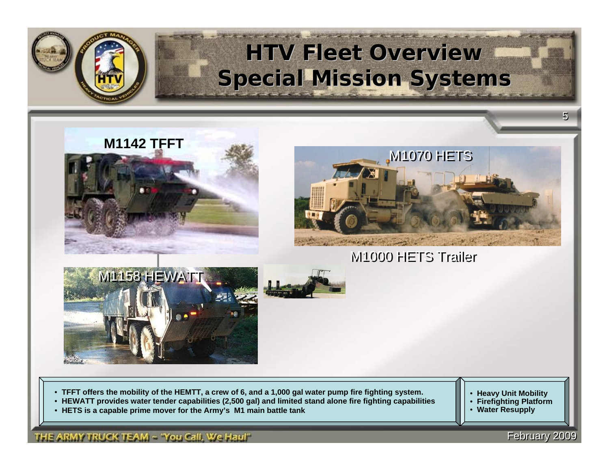

## **HTV Fleet Overview HTV Fleet Overview Special Mission Systems Special Mission Systems**





M1000 HETS Trailer





• **TFFT offer s the mobility of the HEMTT, a cr ew of 6, and a 1,0 00 g al water p ump fir e fighting system.**

- HEWATT provides water tender capabilities (2,500 gal) and limited stand alone fire fighting capabilities
- **HETS is a capable prime mover for the Army's M1 main battle tank**

#### THE ARMY TRUCK TEAM ~ 'You Call, We Haul''

• **Heavy Unit Mobility**

- **Firefighting Platform**
- **Water Resupply**

**February 2009**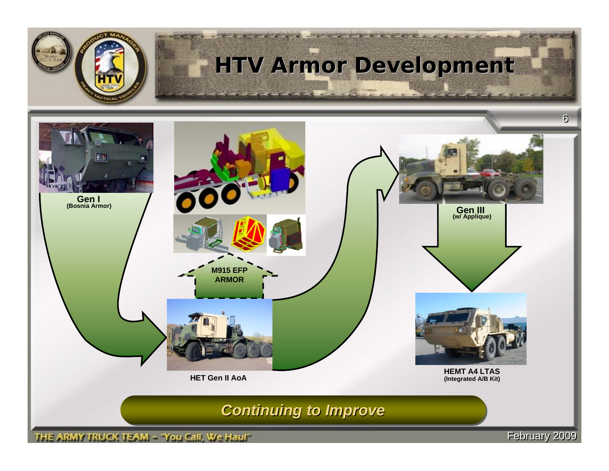

*Continuing to Improve Continuing to Improve Continuing to Improve*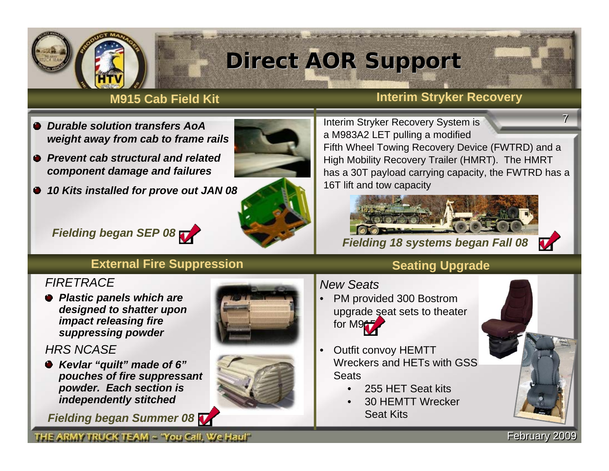

## **Direct AOR Support Direct AOR Support**

#### **M915 Cab Field Kit**

#### **Interim Stryker Recovery**

- *Durable solution transfers AoA weight away from cab to frame rails*
- *Prevent cab structural and related component damage and failures*
- *10 Kits installed for prove out JAN 08*





77Interim Stryker Recovery System is a M983A2 LET pulling a modified Fifth Wheel Towing Recovery Device (FWTRD) and a High Mobility Recovery Trailer (HMRT). The HMRT has a 30T payload carrying capacity, the FWTRD has a 16T lift and tow capacity

*Fielding 18 systems began Fall 08*



### *Fielding began SEP 08*

#### **External Fire Suppression**

#### *FIRETRACE*

*Plastic panels which are designed to shatter upon impact releasing fire suppressing powder*

#### *HRS NCASE*

*Kevlar "quilt" made of 6" pouches of fire suppressant powder. Each section is independently stitched*

*Fielding began Summer 08*







### **Seating Upgrade**

#### *New Seats*

- PM provided 300 Bostrom upgrade seat sets to theater for M9<sup>+</sup>
- Outfit convoy HEMTT Wreckers and HETs with GSS **Seats** 
	- 255 HET Seat kits
	- 30 HEMTT Wrecker Seat Kits



**February 2009**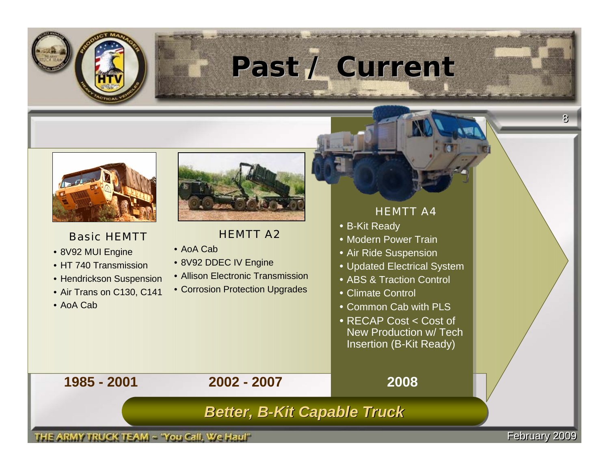

# **Past / Current Past / Current**



#### *Basic HEMTT*

- 8V92 MUI Engine
- HT 740 Transmission
- Hen drickson Suspensi o n
- Air Trans on C130, C141
- AoA Cab



#### *HEMTT A2*

- AoA Cab
- 8V92 D DEC IV Engine
- Allison Electronic Transmission
- Corrosion Protection Upgrades

#### *HEMTT A4*

- B-Kit Ready
- Modern Power Train
- Air Ride Suspension
- Updated Electrical System
- ABS & Traction Control
- Climate Control
- Common Cab with PLS
- RECAP Cost < Cost ofNew Production w/ Tech Insertion (B-Kit Ready)

**2008**

**1985 - 2001**

**2002 - 2007**

### **Better, B-Kit Capable Truck**

THE ARMY TRUCK TEAM ~ 'You Call, We Haul''

February 2009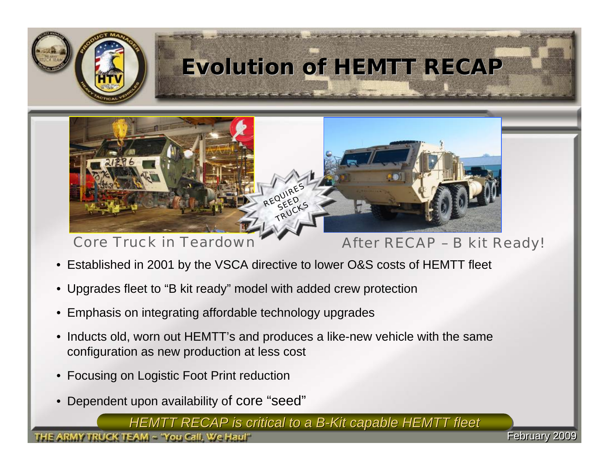

## **Evolution of HEMTT RECAP**



*Core Truck in Teardown*

### *After RECAP – B kit Ready!*

**February 2009** 

- Established in 2001 by the VSCA directive to lower O&S costs of HEMTT fleet
- Upgrades fleet to "B kit ready" model with added crew protection
- Emphasis on integrating affordable technology upgrades
- Inducts old, worn out HEMTT's and produces a like-new vehicle with the same configuration as new production at less cost
- Focusing on Logistic Foot Print reduction
- Dependent upon availability of core "seed"

*HEMTT RECAP is critical to a B HEMTT RECAP is critical to a B HEMTT RECAP is critical to a B-Kit capable HEMTT fleet -Kit capable HEMTT fleet Kit capable HEMTT fleet*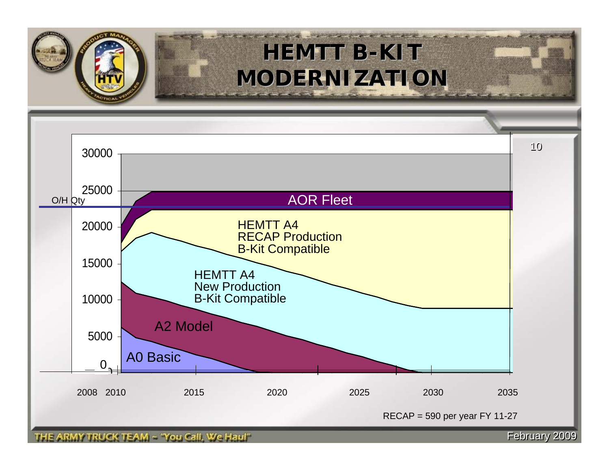

## **HEMTT B-KIT HEMTT B-KIT MODERNIZATION MODERNIZATION**

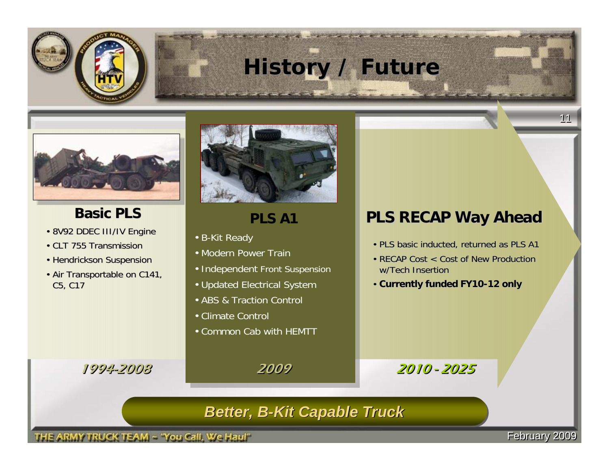

## **History / Future**



### **Basic PLS**

- 8V92 DDEC III/IV Engine
- CLT 755 Transmission
- Hendrickson Suspension
- Air Transportable on C141, C5, C17

1994-2008



### **PLS A1**

- B-Kit Read y
- Modern Power Train
- Independent Front Suspension
- Updated Electrical System
- ABS & Traction Control
- Climate Control
- Common Cab with HEMTT

2009

### **PLS RECAP Way Ahead PLS RECAP Way Ahead**

- PLS basic inducted, returned as PLS A1
- RECAP Cost < Cost of New Production w/Tech Insertion
- Currently funded FY10-12 only

#### - 2025

### **Better, B-Kit Capable Truck**

THE ARMY TRUCK TEAM ~ 'You Call, We Haul''

**February 2009**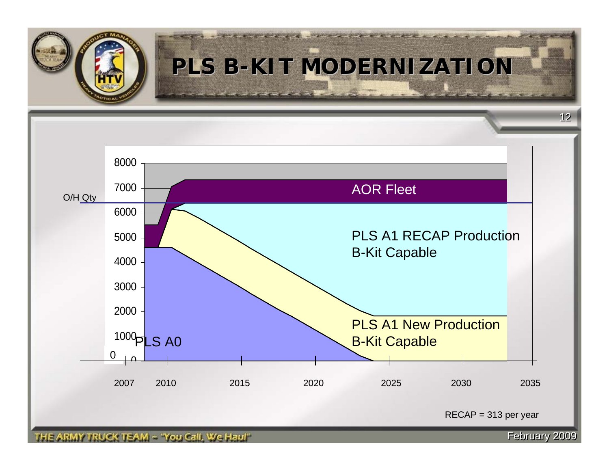

## **PLS B-KIT MODERNIZATION**



RECAP = 313 per year

THE ARMY TRUCK TEAM ~ "You Call, We Haul"

**February 2009**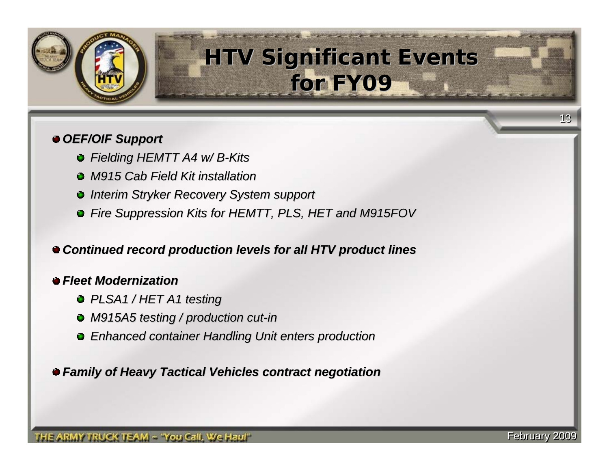

## **HTV Significant Events HTV Significant Events for FY09 for FY09**

#### *OEF/OIF Support OEF/OIF Support*

- *Fielding HEMTT A4 w/ B Fielding HEMTT A4 w/ B-Kits*
- *M915 Cab Field Kit installation M915 Field Kit installation*
- *Interim Stryker Recovery System support*
- *Fire Suppression Kits for HEMTT, PLS, HET and M915FOV Fire Suppression Kits for HEMTT, PLS, HET and M915FOV*

#### *Continued record production l Continued record production levels for all HTV product lines evels for all HTV product lines*

#### *Fleet Modernization Fleet Modernization*

- *PLSA1 / HET A1 testing PLSA1 / HET A1 testing*
- *M915A5 testing / production cut M915A5 testing / production cut-in*
- *Enhanced container Handling Unit enters production Enhanced container Handling Unit enters production*

*Family of Heavy Tactical Ve Family of Heavy Tactical Vehicles contract negotiation hicles contract negotiation*